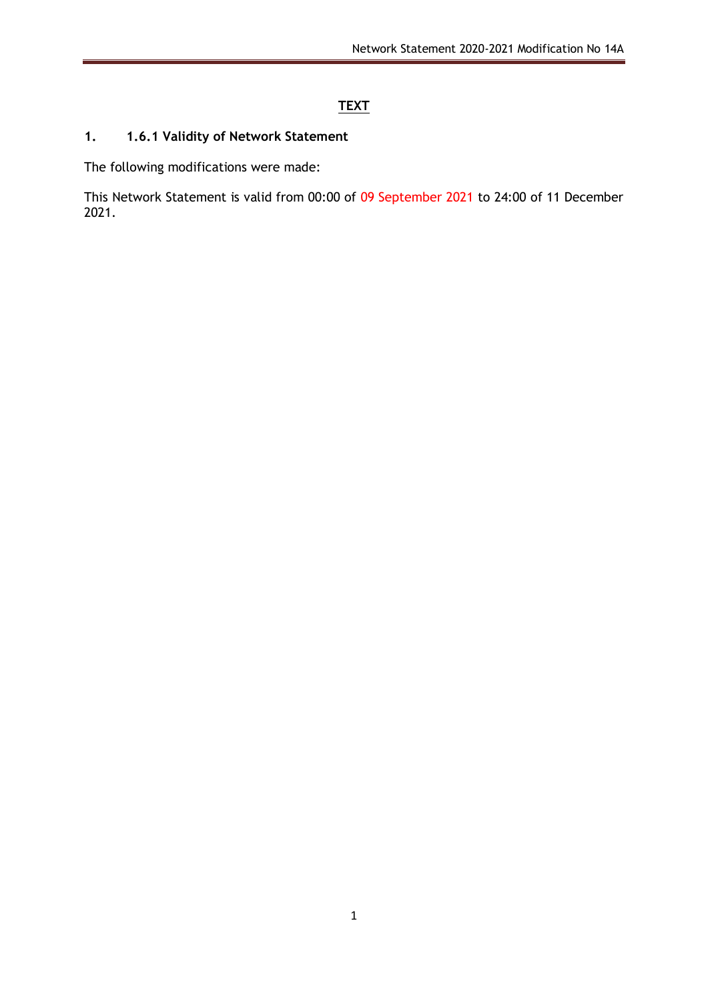# **TEXT**

### **1. 1.6.1 Validity of Network Statement**

The following modifications were made:

This Network Statement is valid from 00:00 of 09 September 2021 to 24:00 of 11 December 2021.